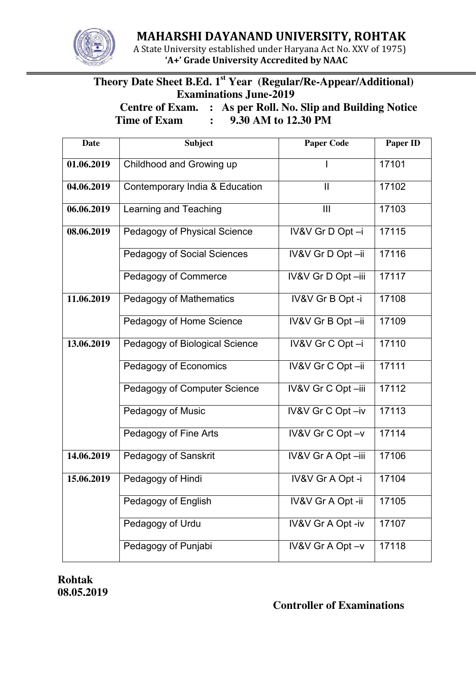



( A State University established under Haryana Act No. XXV of 1975)  **'A+' Grade University Accredited by NAAC** 

**Theory Date Sheet B.Ed. 1st Year (Regular/Re-Appear/Additional) Examinations June-2019** 

 **Centre of Exam. : As per Roll. No. Slip and Building Notice Time of Exam : 9.30 AM to 12.30 PM** 

| <b>Date</b> | <b>Subject</b>                 | <b>Paper Code</b>  | Paper ID           |
|-------------|--------------------------------|--------------------|--------------------|
| 01.06.2019  | Childhood and Growing up       |                    | $1710\overline{1}$ |
| 04.06.2019  | Contemporary India & Education | $\mathbf{II}$      | 17102              |
| 06.06.2019  | Learning and Teaching          | $\mathbf{III}$     | 17103              |
| 08.06.2019  | Pedagogy of Physical Science   | IV&V Gr D Opt -i   | 17115              |
|             | Pedagogy of Social Sciences    | IV&V Gr D Opt -ii  | 17116              |
|             | Pedagogy of Commerce           | IV&V Gr D Opt -iii | 17117              |
| 11.06.2019  | <b>Pedagogy of Mathematics</b> | IV&V Gr B Opt -i   | 17108              |
|             | Pedagogy of Home Science       | IV&V Gr B Opt -ii  | 17109              |
| 13.06.2019  | Pedagogy of Biological Science | IV&V Gr C Opt -i   | 17110              |
|             | Pedagogy of Economics          | IV&V Gr C Opt-ii   | 17111              |
|             | Pedagogy of Computer Science   | IV&V Gr C Opt -iii | 17112              |
|             | Pedagogy of Music              | IV&V Gr C Opt -iv  | 17113              |
|             | Pedagogy of Fine Arts          | IV&V Gr C Opt -v   | 17114              |
| 14.06.2019  | Pedagogy of Sanskrit           | IV&V Gr A Opt -iii | 17106              |
| 15.06.2019  | Pedagogy of Hindi              | IV&V Gr A Opt -i   | 17104              |
|             | Pedagogy of English            | IV&V Gr A Opt -ii  | 17105              |
|             | Pedagogy of Urdu               | IV&V Gr A Opt -iv  | 17107              |
|             | Pedagogy of Punjabi            | IV&V Gr A Opt -v   | 17118              |

**Rohtak 08.05.2019** 

**Controller of Examinations**